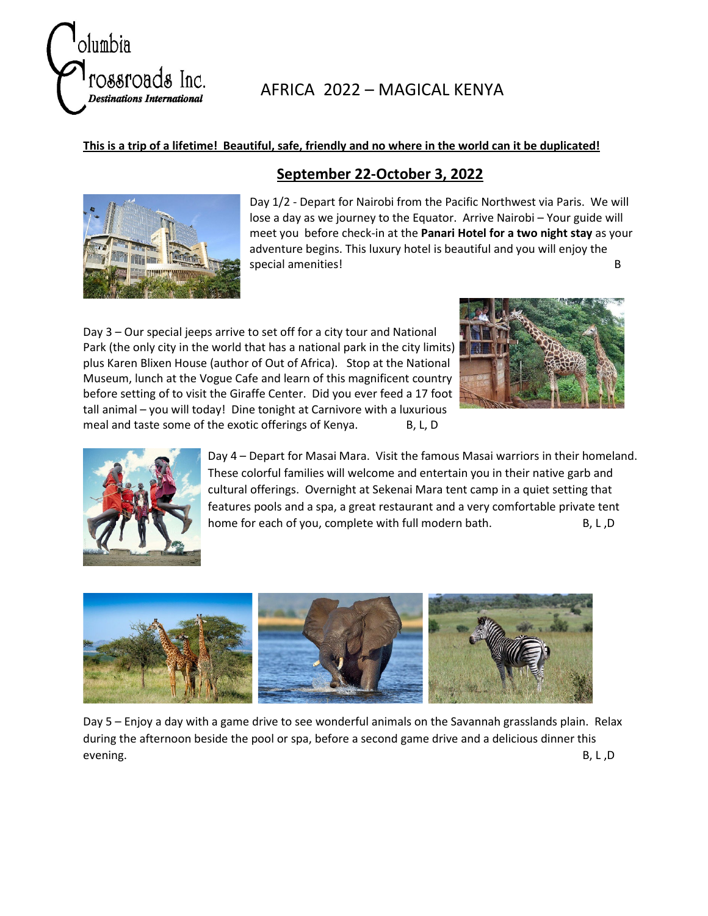

# AFRICA 2022 – MAGICAL KENYA

### **This is a trip of a lifetime! Beautiful, safe, friendly and no where in the world can it be duplicated!**



 **September 22-October 3, 2022**

Day 1/2 - Depart for Nairobi from the Pacific Northwest via Paris. We will lose a day as we journey to the Equator. Arrive Nairobi – Your guide will meet you before check-in at the **Panari Hotel for a two night stay** as your adventure begins. This luxury hotel is beautiful and you will enjoy the special amenities! B

Day 3 – Our special jeeps arrive to set off for a city tour and National Park (the only city in the world that has a national park in the city limits) plus Karen Blixen House (author of Out of Africa). Stop at the National Museum, lunch at the Vogue Cafe and learn of this magnificent country before setting of to visit the Giraffe Center. Did you ever feed a 17 foot tall animal – you will today! Dine tonight at Carnivore with a luxurious meal and taste some of the exotic offerings of Kenya. B, L, D





Day 4 – Depart for Masai Mara. Visit the famous Masai warriors in their homeland. These colorful families will welcome and entertain you in their native garb and cultural offerings. Overnight at Sekenai Mara tent camp in a quiet setting that features pools and a spa, a great restaurant and a very comfortable private tent home for each of you, complete with full modern bath. B, L,D



Day 5 – Enjoy a day with a game drive to see wonderful animals on the Savannah grasslands plain. Relax during the afternoon beside the pool or spa, before a second game drive and a delicious dinner this evening. B, L, D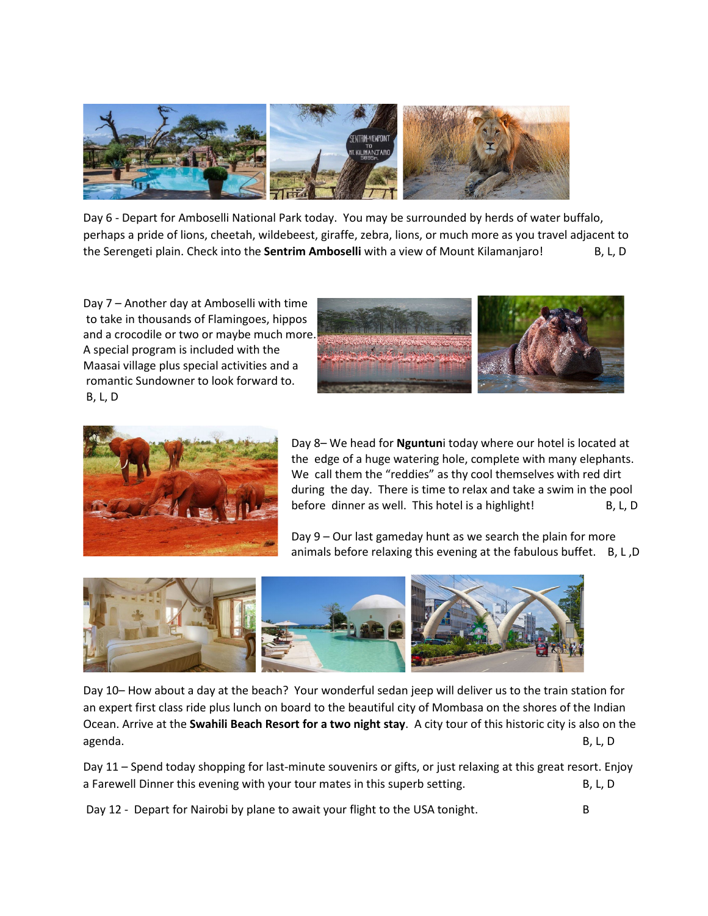

Day 6 - Depart for Amboselli National Park today. You may be surrounded by herds of water buffalo, perhaps a pride of lions, cheetah, wildebeest, giraffe, zebra, lions, or much more as you travel adjacent to the Serengeti plain. Check into the **Sentrim Amboselli** with a view of Mount Kilamanjaro! B, L, D

Day 7 – Another day at Amboselli with time to take in thousands of Flamingoes, hippos and a crocodile or two or maybe much more. A special program is included with the Maasai village plus special activities and a romantic Sundowner to look forward to. B, L, D





Day 8– We head for **Nguntun**i today where our hotel is located at the edge of a huge watering hole, complete with many elephants. We call them the "reddies" as thy cool themselves with red dirt during the day. There is time to relax and take a swim in the pool before dinner as well. This hotel is a highlight! B, L, D

Day 9 – Our last gameday hunt as we search the plain for more animals before relaxing this evening at the fabulous buffet. B, L ,D



Day 10– How about a day at the beach? Your wonderful sedan jeep will deliver us to the train station for an expert first class ride plus lunch on board to the beautiful city of Mombasa on the shores of the Indian Ocean. Arrive at the **Swahili Beach Resort for a two night stay**. A city tour of this historic city is also on the agenda. B, L, D

Day 11 – Spend today shopping for last-minute souvenirs or gifts, or just relaxing at this great resort. Enjoy a Farewell Dinner this evening with your tour mates in this superb setting. B, L, D

Day 12 - Depart for Nairobi by plane to await your flight to the USA tonight. B